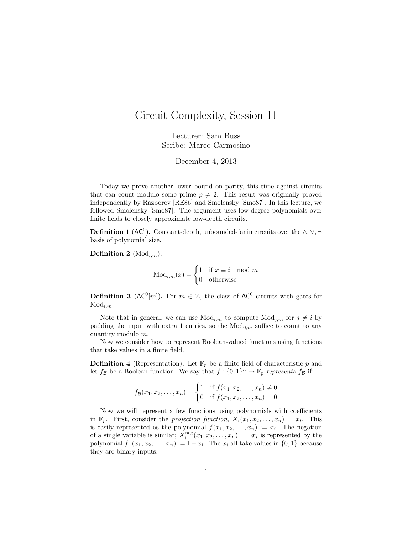## Circuit Complexity, Session 11

Lecturer: Sam Buss Scribe: Marco Carmosino

December 4, 2013

Today we prove another lower bound on parity, this time against circuits that can count modulo some prime  $p \neq 2$ . This result was originally proved independently by Razborov [RE86] and Smolensky [Smo87]. In this lecture, we followed Smolensky [Smo87]. The argument uses low-degree polynomials over finite fields to closely approximate low-depth circuits.

**Definition 1** (AC<sup>0</sup>). Constant-depth, unbounded-fanin circuits over the  $\wedge$ ,  $\vee$ ,  $\neg$ basis of polynomial size.

Definition 2 ( $\text{Mod}_{i,m}$ ).

$$
Mod_{i,m}(x) = \begin{cases} 1 & \text{if } x \equiv i \mod m \\ 0 & \text{otherwise} \end{cases}
$$

**Definition 3** (AC<sup>0</sup>[m]). For  $m \in \mathbb{Z}$ , the class of AC<sup>0</sup> circuits with gates for  $\text{Mod}_{i,m}$ 

Note that in general, we can use  $\text{Mod}_{i,m}$  to compute  $\text{Mod}_{j,m}$  for  $j \neq i$  by padding the input with extra 1 entries, so the  $\text{Mod}_{0,m}$  suffice to count to any quantity modulo m.

Now we consider how to represent Boolean-valued functions using functions that take values in a finite field.

**Definition 4** (Representation). Let  $\mathbb{F}_p$  be a finite field of characteristic p and let  $f_{\mathcal{B}}$  be a Boolean function. We say that  $f: \{0,1\}^n \to \mathbb{F}_p$  represents  $f_{\mathcal{B}}$  if:

$$
f_{\mathcal{B}}(x_1, x_2, \dots, x_n) = \begin{cases} 1 & \text{if } f(x_1, x_2, \dots, x_n) \neq 0 \\ 0 & \text{if } f(x_1, x_2, \dots, x_n) = 0 \end{cases}
$$

Now we will represent a few functions using polynomials with coefficients in  $\mathbb{F}_p$ . First, consider the projection function,  $X_i(x_1, x_2, \ldots, x_n) = x_i$ . This is easily represented as the polynomial  $f(x_1, x_2, \ldots, x_n) := x_i$ . The negation of a single variable is similar;  $X_i^{\text{neg}}(x_1, x_2, \ldots, x_n) = \neg x_i$  is represented by the polynomial  $f_{\neg}(x_1, x_2, \ldots, x_n) := 1 - x_1$ . The  $x_i$  all take values in  $\{0, 1\}$  because they are binary inputs.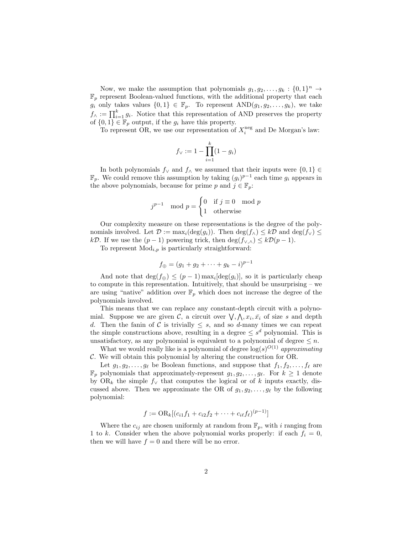Now, we make the assumption that polynomials  $g_1, g_2, \ldots, g_k : \{0,1\}^n \to$  $\mathbb{F}_p$  represent Boolean-valued functions, with the additional property that each  $g_i$  only takes values  $\{0,1\} \in \mathbb{F}_p$ . To represent  $AND(g_1, g_2, \ldots, g_k)$ , we take  $f_{\wedge} := \prod_{i=1}^{k} g_i$ . Notice that this representation of AND preserves the property of  $\{0,1\} \in \mathbb{F}_p$  output, if the  $g_i$  have this property.

To represent OR, we use our representation of  $X_i^{\text{neg}}$  and De Morgan's law:

$$
f_{\vee} := 1 - \prod_{i=1}^{k} (1 - g_i)
$$

In both polynomials  $f_{\vee}$  and  $f_{\wedge}$  we assumed that their inputs were  $\{0,1\} \in$  $\mathbb{F}_p$ . We could remove this assumption by taking  $(g_i)^{p-1}$  each time  $g_i$  appears in the above polynomials, because for prime p and  $j \in \mathbb{F}_p$ :

$$
j^{p-1} \mod p = \begin{cases} 0 & \text{if } j \equiv 0 \mod p \\ 1 & \text{otherwise} \end{cases}
$$

Our complexity measure on these representations is the degree of the polynomials involved. Let  $\mathcal{D} := \max_i(\deg(g_i))$ . Then  $\deg(f_\wedge) \leq k\mathcal{D}$  and  $\deg(f_\vee) \leq$ kD. If we use the  $(p-1)$  powering trick, then  $\deg(f_{\vee,\wedge}) \leq k\mathcal{D}(p-1)$ .

To represent  $\text{Mod}_{i,p}$  is particularly straightforward:

$$
f_{\oplus} = (g_1 + g_2 + \dots + g_k - i)^{p-1}
$$

And note that  $\deg(f_{\oplus}) \leq (p-1) \max_i [\deg(g_i)],$  so it is particularly cheap to compute in this representation. Intuitively, that should be unsurprising – we are using "native" addition over  $\mathbb{F}_p$  which does not increase the degree of the polynomials involved.

This means that we can replace any constant-depth circuit with a polynomial. Suppose we are given C, a circuit over  $\bigvee$ ,  $\bigwedge$ ,  $x_i$ ,  $\bar{x_i}$  of size s and depth d. Then the fanin of C is trivially  $\leq s$ , and so d-many times we can repeat the simple constructions above, resulting in a degree  $\leq s^d$  polynomial. This is unsatisfactory, as any polynomial is equivalent to a polynomial of degree  $\leq n$ .

What we would really like is a polynomial of degree  $log(s)^{O(1)}$  approximating C. We will obtain this polynomial by altering the construction for OR.

Let  $g_1, g_2, \ldots, g_\ell$  be Boolean functions, and suppose that  $f_1, f_2, \ldots, f_\ell$  are  $\mathbb{F}_p$  polynomials that approximately-represent  $g_1, g_2, \ldots, g_\ell$ . For  $k \geq 1$  denote by  $OR_k$  the simple  $f_\vee$  that computes the logical or of k inputs exactly, discussed above. Then we approximate the OR of  $g_1, g_2, \ldots, g_\ell$  by the following polynomial:

$$
f := \mathrm{OR}_k[(c_{i1}f_1 + c_{i2}f_2 + \cdots + c_{i\ell}f_{\ell})^{(p-1)}]
$$

Where the  $c_{ij}$  are chosen uniformly at random from  $\mathbb{F}_p$ , with i ranging from 1 to k. Consider when the above polynomial works properly: if each  $f_i = 0$ , then we will have  $f = 0$  and there will be no error.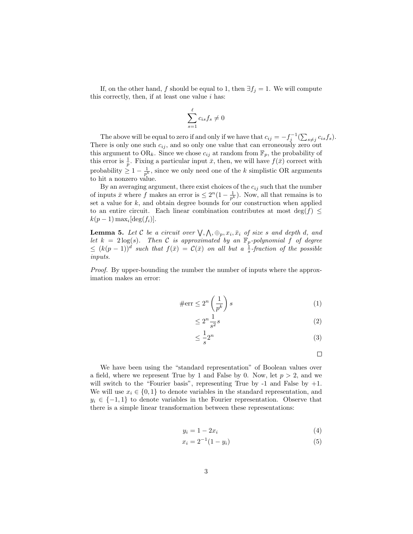If, on the other hand, f should be equal to 1, then  $\exists f_j = 1$ . We will compute this correctly, then, if at least one value  $i$  has:

$$
\sum_{s=1}^{\ell} c_{is} f_s \neq 0
$$

The above will be equal to zero if and only if we have that  $c_{ij} = -f_j^{-1}(\sum_{s \neq j} c_{is} f_s)$ . There is only one such  $c_{ij}$ , and so only one value that can erroneously zero out this argument to OR<sub>k</sub>. Since we chose  $c_{ij}$  at random from  $\mathbb{F}_p$ , the probability of this error is  $\frac{1}{p}$ . Fixing a particular input  $\bar{x}$ , then, we will have  $f(\bar{x})$  correct with probability  $\geq 1 - \frac{1}{p^k}$ , since we only need one of the k simplistic OR arguments to hit a nonzero value.

By an averaging argument, there exist choices of the  $c_{ij}$  such that the number of inputs  $\bar{x}$  where f makes an error is  $\leq 2^n(1-\frac{1}{p^k})$ . Now, all that remains is to set a value for  $k$ , and obtain degree bounds for our construction when applied to an entire circuit. Each linear combination contributes at most deg( $f$ )  $\leq$  $k(p-1) \max_i [\deg(f_i)].$ 

**Lemma 5.** Let C be a circuit over  $\bigvee$ ,  $\bigwedge$ ,  $\oplus_p$ ,  $x_i$ ,  $\bar{x}_i$  of size s and depth d, and let  $k = 2 \log(s)$ . Then C is approximated by an  $\mathbb{F}_p$ -polynomial f of degree  $\leq (k(p-1))^d$  such that  $f(\bar{x}) = C(\bar{x})$  on all but a  $\frac{1}{s}$ -fraction of the possible inputs.

Proof. By upper-bounding the number the number of inputs where the approximation makes an error:

$$
\#\text{err} \le 2^n \left(\frac{1}{p^k}\right)s\tag{1}
$$

$$
\leq 2^n \frac{1}{s^2} s \tag{2}
$$

$$
\leq \frac{1}{s}2^n\tag{3}
$$

 $\Box$ 

We have been using the "standard representation" of Boolean values over a field, where we represent True by 1 and False by 0. Now, let  $p > 2$ , and we will switch to the "Fourier basis", representing True by  $-1$  and False by  $+1$ . We will use  $x_i \in \{0, 1\}$  to denote variables in the standard representation, and  $y_i \in \{-1,1\}$  to denote variables in the Fourier representation. Observe that there is a simple linear transformation between these representations:

$$
y_i = 1 - 2x_i \tag{4}
$$

$$
x_i = 2^{-1}(1 - y_i)
$$
 (5)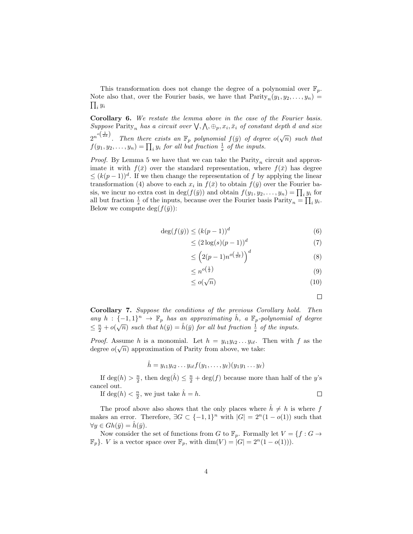This transformation does not change the degree of a polynomial over  $\mathbb{F}_p$ . Note also that, over the Fourier basis, we have that  $\text{Parity}_n(y_1, y_2, \ldots, y_n) = \prod_i y_i$ i yi

Corollary 6. We restate the lemma above in the case of the Fourier basis. Suppose  $\text{Parity}_n$  has a circuit over  $\bigvee$ ,  $\bigwedge$ ,  $\oplus_p$ ,  $x_i$ ,  $\bar{x}_i$  of constant depth d and size  $2^{n^o\left(\frac{1}{2d}\right)}$ . Then there exists an  $\mathbb{F}_p$  polynomial  $f(\bar{y})$  of degree  $o(\sqrt{n})$  such that  $f(y_1, y_2, \ldots, y_n) = \prod_i y_i$  for all but fraction  $\frac{1}{s}$  of the inputs.

*Proof.* By Lemma 5 we have that we can take the  $\text{Parity}_n$  circuit and approximate it with  $f(\bar{x})$  over the standard representation, where  $f(\bar{x})$  has degree  $\leq (k(p-1))^d$ . If we then change the representation of f by applying the linear transformation (4) above to each  $x_i$  in  $f(\bar{x})$  to obtain  $f(\bar{y})$  over the Fourier basis, we incur no extra cost in  $\deg(f(\bar{y}))$  and obtain  $f(y_1, y_2, \ldots, y_n) = \prod_i y_i$  for all but fraction  $\frac{1}{s}$  of the inputs, because over the Fourier basis  $\text{Parity}_n = \prod_i y_i$ . Below we compute  $\deg(f(\bar{y}))$ :

$$
\deg(f(\bar{y})) \le (k(p-1))^d \tag{6}
$$

$$
\leq (2\log(s)(p-1))^d\tag{7}
$$

$$
\leq \left(2(p-1)n^{o\left(\frac{1}{2d}\right)}\right)^d\tag{8}
$$

$$
\leq n^{o\left(\frac{1}{2}\right)}\tag{9}
$$

$$
\leq o(\sqrt{n})\tag{10}
$$

Corollary 7. Suppose the conditions of the previous Corollary hold. Then any  $h: \{-1,1\}^n \to \mathbb{F}_p$  has an approximating  $\hat{h}$ , a  $\mathbb{F}_p$ -polynomial of degree  $\leq \frac{n}{2} + o(\sqrt{n})$  such that  $h(\bar{y}) = \hat{h}(\bar{y})$  for all but fraction  $\frac{1}{s}$  of the inputs.

*Proof.* Assume h is a monomial. Let  $h = y_{i1}y_{i2} \dots y_{i\ell}$ . Then with f as the degree  $o(\sqrt{n})$  approximation of Parity from above, we take:

$$
\hat{h} = y_{i1}y_{i2}\ldots y_{i\ell}f(y_1,\ldots,y_\ell)(y_1y_1\ldots y_\ell)
$$

If  $\deg(h) > \frac{n}{2}$ , then  $\deg(\hat{h}) \leq \frac{n}{2} + \deg(f)$  because more than half of the y's cancel out.

If 
$$
\deg(h) < \frac{n}{2}
$$
, we just take  $\hat{h} = h$ .

The proof above also shows that the only places where  $\hat{h} \neq h$  is where f makes an error. Therefore,  $\exists G \subset \{-1,1\}^n$  with  $|G| = 2^n(1 - o(1))$  such that  $\forall y \in Gh(\bar{y}) = h(\bar{y}).$ 

Now consider the set of functions from G to  $\mathbb{F}_p$ . Formally let  $V = \{f : G \to$  $\mathbb{F}_p$ . *V* is a vector space over  $\mathbb{F}_p$ , with  $\dim(V) = |G| = 2<sup>n</sup>(1 - o(1))$ .